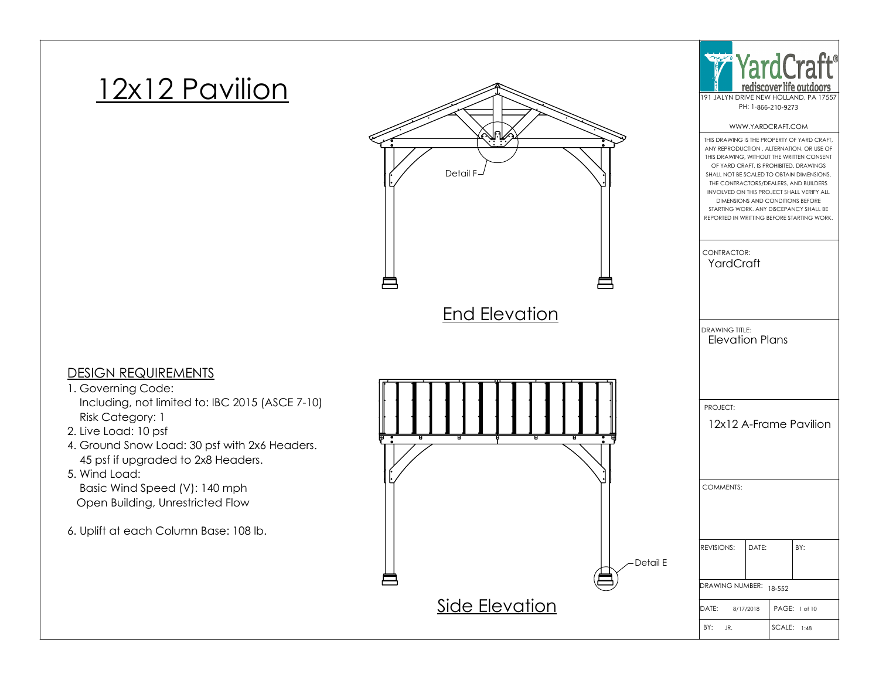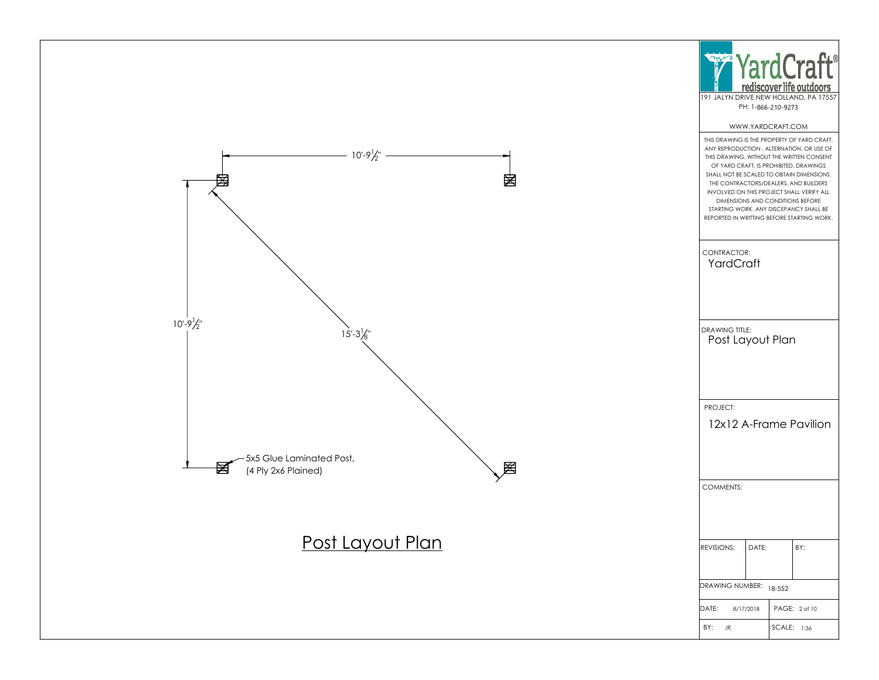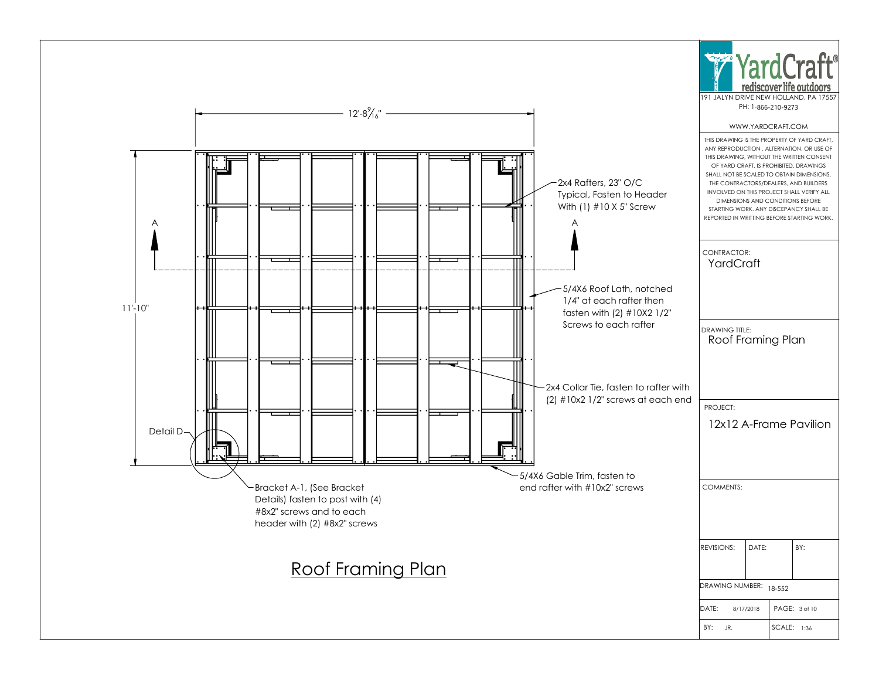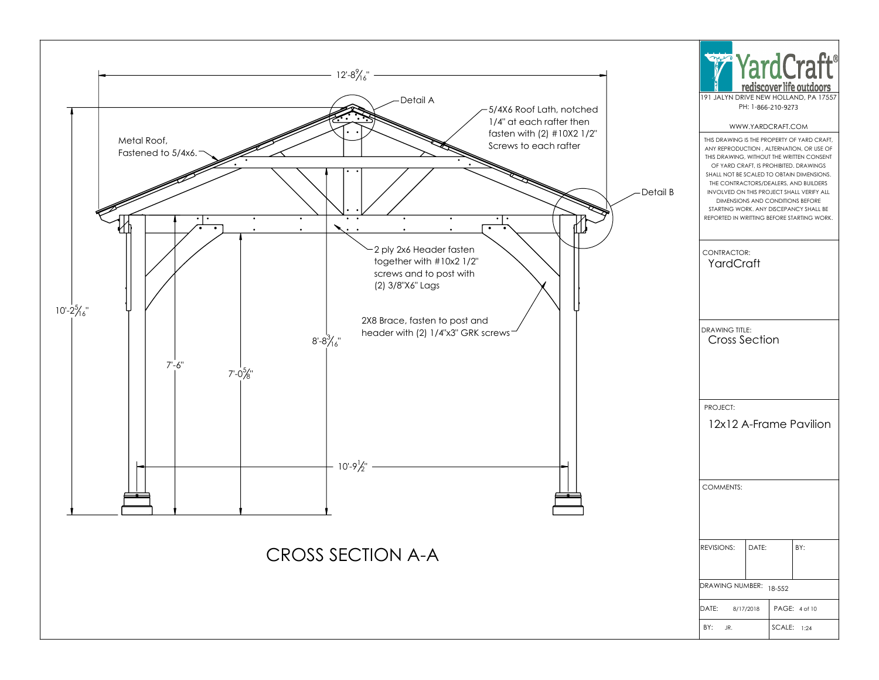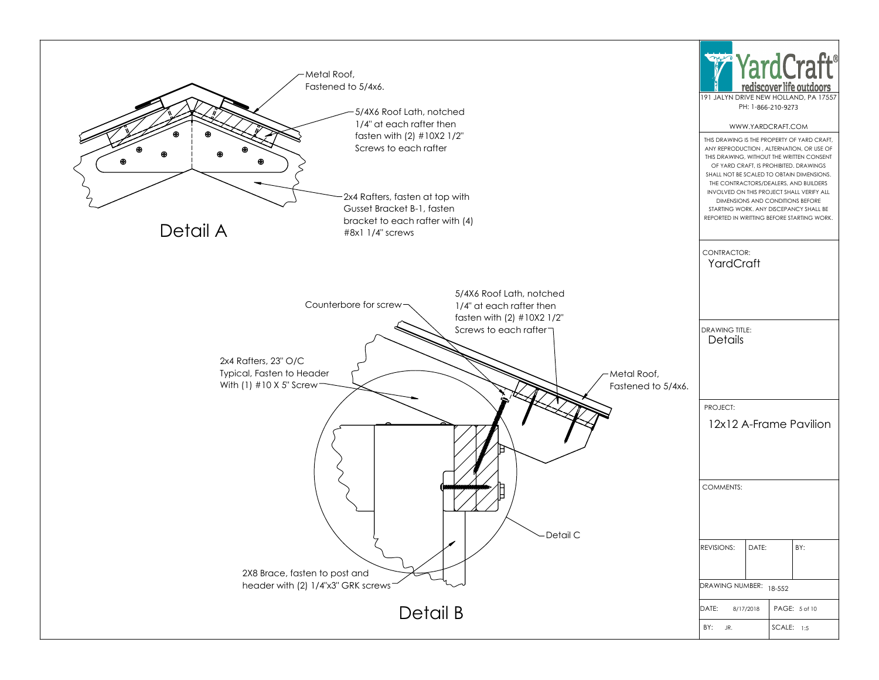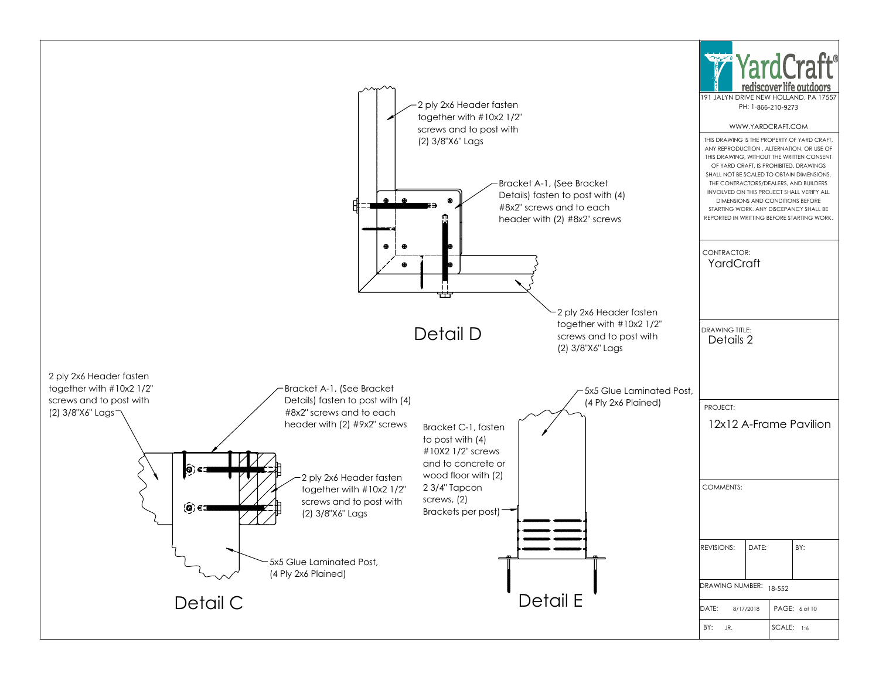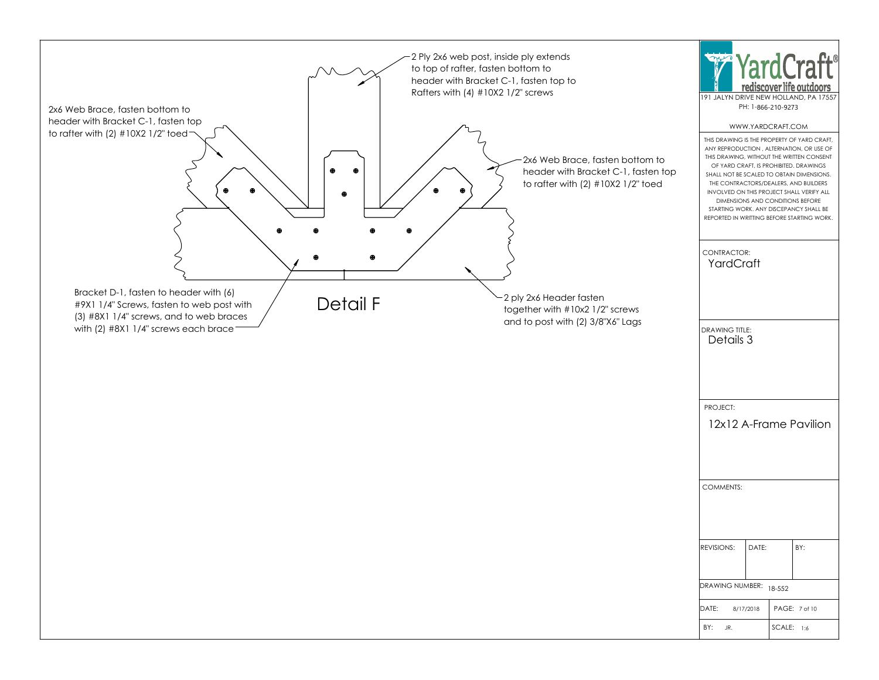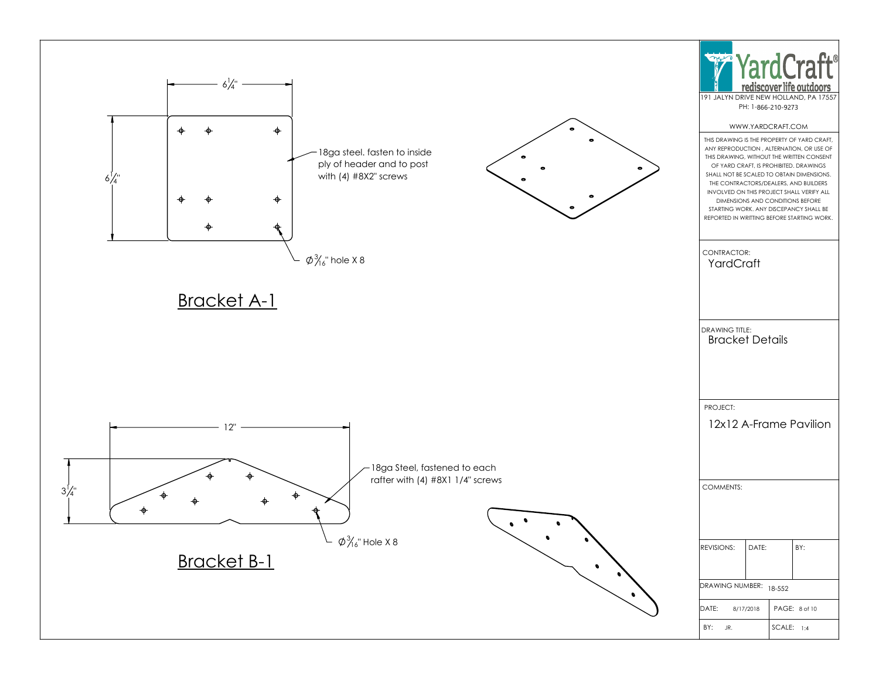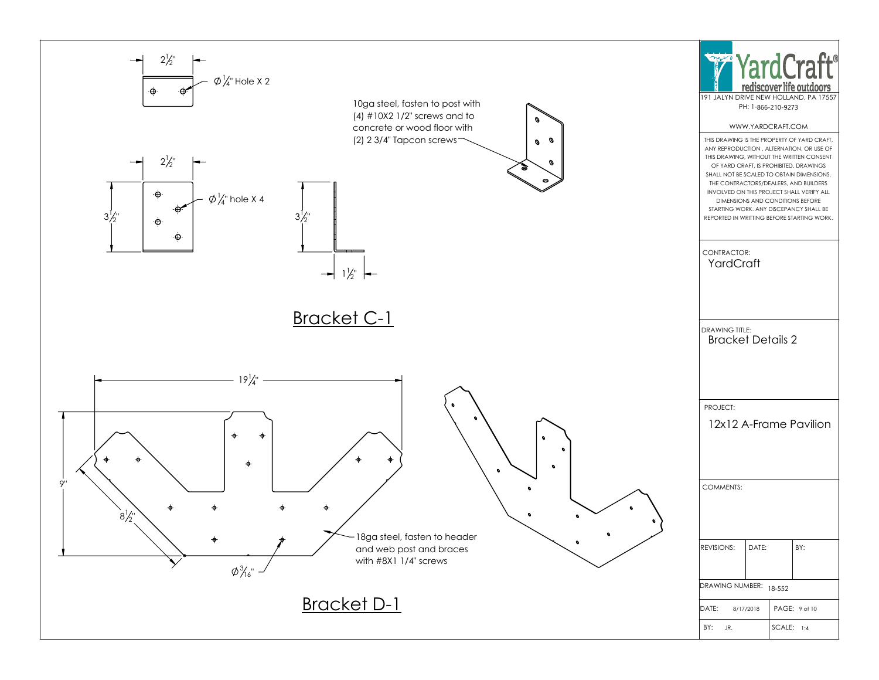